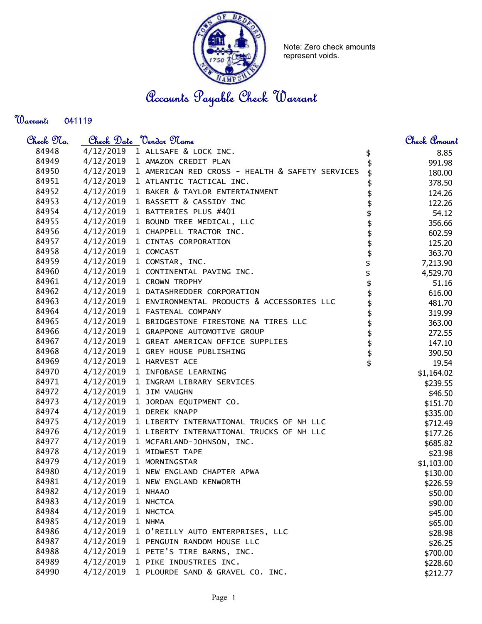

Note: Zero check amounts represent voids.

Accounts Payable Check Warrant

Warrant: 

| <u>Check 97a.</u> |                     | <u>Check Date "Vendor Mame</u>                            |          | Check Amount |
|-------------------|---------------------|-----------------------------------------------------------|----------|--------------|
| 84948             |                     | 4/12/2019 1 ALLSAFE & LOCK INC.                           | \$       | 8.85         |
| 84949             |                     | 4/12/2019 1 AMAZON CREDIT PLAN                            |          | 991.98       |
| 84950             |                     | 4/12/2019 1 AMERICAN RED CROSS - HEALTH & SAFETY SERVICES |          | 180.00       |
| 84951             |                     | 4/12/2019 1 ATLANTIC TACTICAL INC.                        |          | 378.50       |
| 84952             |                     | 4/12/2019 1 BAKER & TAYLOR ENTERTAINMENT                  |          | 124.26       |
| 84953             |                     | 4/12/2019 1 BASSETT & CASSIDY INC                         |          | 122.26       |
| 84954             | 4/12/2019           | 1 BATTERIES PLUS #401                                     |          | 54.12        |
| 84955             |                     | 4/12/2019 1 BOUND TREE MEDICAL, LLC                       |          | 356.66       |
| 84956             |                     | 4/12/2019 1 CHAPPELL TRACTOR INC.                         | \$       | 602.59       |
| 84957             |                     | 4/12/2019 1 CINTAS CORPORATION                            | \$       | 125.20       |
| 84958             | 4/12/2019 1 COMCAST |                                                           | \$       | 363.70       |
| 84959             |                     | 4/12/2019 1 COMSTAR, INC.                                 |          | 7,213.90     |
| 84960             |                     | 4/12/2019 1 CONTINENTAL PAVING INC.                       |          | 4,529.70     |
| 84961             | 4/12/2019           | 1 CROWN TROPHY                                            |          | 51.16        |
| 84962             |                     | 4/12/2019 1 DATASHREDDER CORPORATION                      |          | 616.00       |
| 84963             |                     | 4/12/2019 1 ENVIRONMENTAL PRODUCTS & ACCESSORIES LLC      |          | 481.70       |
| 84964             |                     | 4/12/2019 1 FASTENAL COMPANY                              | \$       | 319.99       |
| 84965             |                     | 4/12/2019 1 BRIDGESTONE FIRESTONE NA TIRES LLC            | \$       | 363.00       |
| 84966             |                     | 4/12/2019 1 GRAPPONE AUTOMOTIVE GROUP                     | \$       | 272.55       |
| 84967             |                     | 4/12/2019 1 GREAT AMERICAN OFFICE SUPPLIES                |          | 147.10       |
| 84968             |                     | 4/12/2019 1 GREY HOUSE PUBLISHING                         | \$<br>\$ | 390.50       |
| 84969             |                     | 4/12/2019 1 HARVEST ACE                                   |          | 19.54        |
| 84970             |                     | 4/12/2019 1 INFOBASE LEARNING                             |          | \$1,164.02   |
| 84971             | 4/12/2019           | 1 INGRAM LIBRARY SERVICES                                 |          | \$239.55     |
| 84972             | 4/12/2019           | 1 JIM VAUGHN                                              |          | \$46.50      |
| 84973             |                     | 4/12/2019 1 JORDAN EQUIPMENT CO.                          |          | \$151.70     |
| 84974             |                     | 4/12/2019 1 DEREK KNAPP                                   |          | \$335.00     |
| 84975             |                     | 4/12/2019 1 LIBERTY INTERNATIONAL TRUCKS OF NH LLC        |          | \$712.49     |
| 84976             |                     | 4/12/2019 1 LIBERTY INTERNATIONAL TRUCKS OF NH LLC        |          | \$177.26     |
| 84977             |                     | 4/12/2019 1 MCFARLAND-JOHNSON, INC.                       |          | \$685.82     |
| 84978             | 4/12/2019           | 1 MIDWEST TAPE                                            |          | \$23.98      |
| 84979             | 4/12/2019           | 1 MORNINGSTAR                                             |          | \$1,103.00   |
| 84980             |                     | 4/12/2019 1 NEW ENGLAND CHAPTER APWA                      |          | \$130.00     |
| 84981             | 4/12/2019           | 1 NEW ENGLAND KENWORTH                                    |          | \$226.59     |
| 84982             | 4/12/2019           | 1 NHAAO                                                   |          | \$50.00      |
| 84983             | 4/12/2019           | 1 NHCTCA                                                  |          | \$90.00      |
| 84984             | 4/12/2019           | 1 NHCTCA                                                  |          | \$45.00      |
| 84985             | 4/12/2019           | 1 NHMA                                                    |          | \$65.00      |
| 84986             | 4/12/2019           | 1 O'REILLY AUTO ENTERPRISES, LLC                          |          | \$28.98      |
| 84987             | 4/12/2019           | 1 PENGUIN RANDOM HOUSE LLC                                |          | \$26.25      |
| 84988             | 4/12/2019           | 1 PETE'S TIRE BARNS, INC.                                 |          | \$700.00     |
| 84989             | 4/12/2019           | 1 PIKE INDUSTRIES INC.                                    |          | \$228.60     |
| 84990             | 4/12/2019           | 1 PLOURDE SAND & GRAVEL CO. INC.                          |          | \$212.77     |